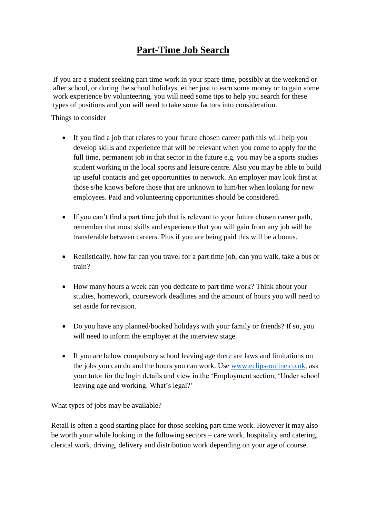## **Part-Time Job Search**

If you are a student seeking part time work in your spare time, possibly at the weekend or after school, or during the school holidays, either just to earn some money or to gain some work experience by volunteering, you will need some tips to help you search for these types of positions and you will need to take some factors into consideration.

## Things to consider

- If you find a job that relates to your future chosen career path this will help you develop skills and experience that will be relevant when you come to apply for the full time, permanent job in that sector in the future e.g. you may be a sports studies student working in the local sports and leisure centre. Also you may be able to build up useful contacts and get opportunities to network. An employer may look first at those s/he knows before those that are unknown to him/her when looking for new employees. Paid and volunteering opportunities should be considered.
- If you can't find a part time job that is relevant to your future chosen career path, remember that most skills and experience that you will gain from any job will be transferable between careers. Plus if you are being paid this will be a bonus.
- Realistically, how far can you travel for a part time job, can you walk, take a bus or train?
- How many hours a week can you dedicate to part time work? Think about your studies, homework, coursework deadlines and the amount of hours you will need to set aside for revision.
- Do you have any planned/booked holidays with your family or friends? If so, you will need to inform the employer at the interview stage.
- If you are below compulsory school leaving age there are laws and limitations on the jobs you can do and the hours you can work. Use [www.eclips-online.co.uk,](http://www.eclips-online.co.uk/) ask your tutor for the login details and view in the 'Employment section, 'Under school leaving age and working. What's legal?'

## What types of jobs may be available?

Retail is often a good starting place for those seeking part time work. However it may also be worth your while looking in the following sectors – care work, hospitality and catering, clerical work, driving, delivery and distribution work depending on your age of course.